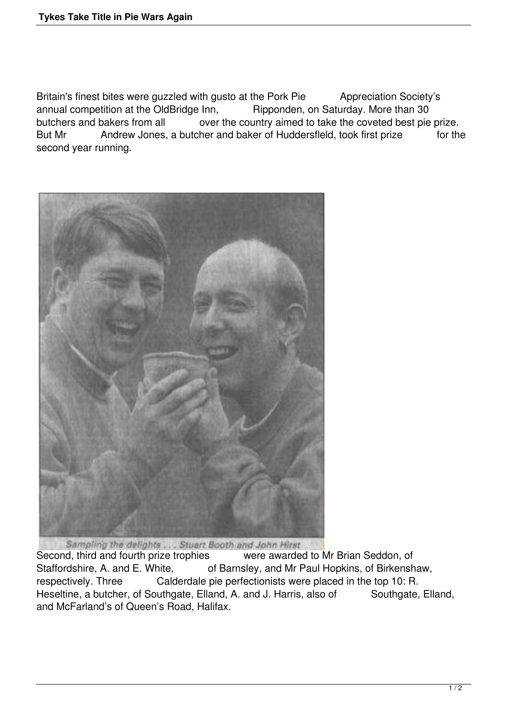Britain's finest bites were guzzled with gusto at the Pork Pie Appreciation Society's annual competition at the OldBridge Inn, Ripponden, on Saturday. More than 30 butchers and bakers from all over the country aimed to take the coveted best pie prize. But Mr Andrew Jones, a butcher and baker of Huddersfleld, took first prize for the second year running.



Second, third and fourth prize trophies were awarded to Mr Brian Seddon, of Staffordshire, A. and E. White, of Barnsley, and Mr Paul Hopkins, of Birkenshaw, respectively. Three Calderdale pie perfectionists were placed in the top 10: R. Heseltine, a butcher, of Southgate, Elland, A. and J. Harris, also of Southgate, Elland, and McFarland's of Queen's Road, Halifax.